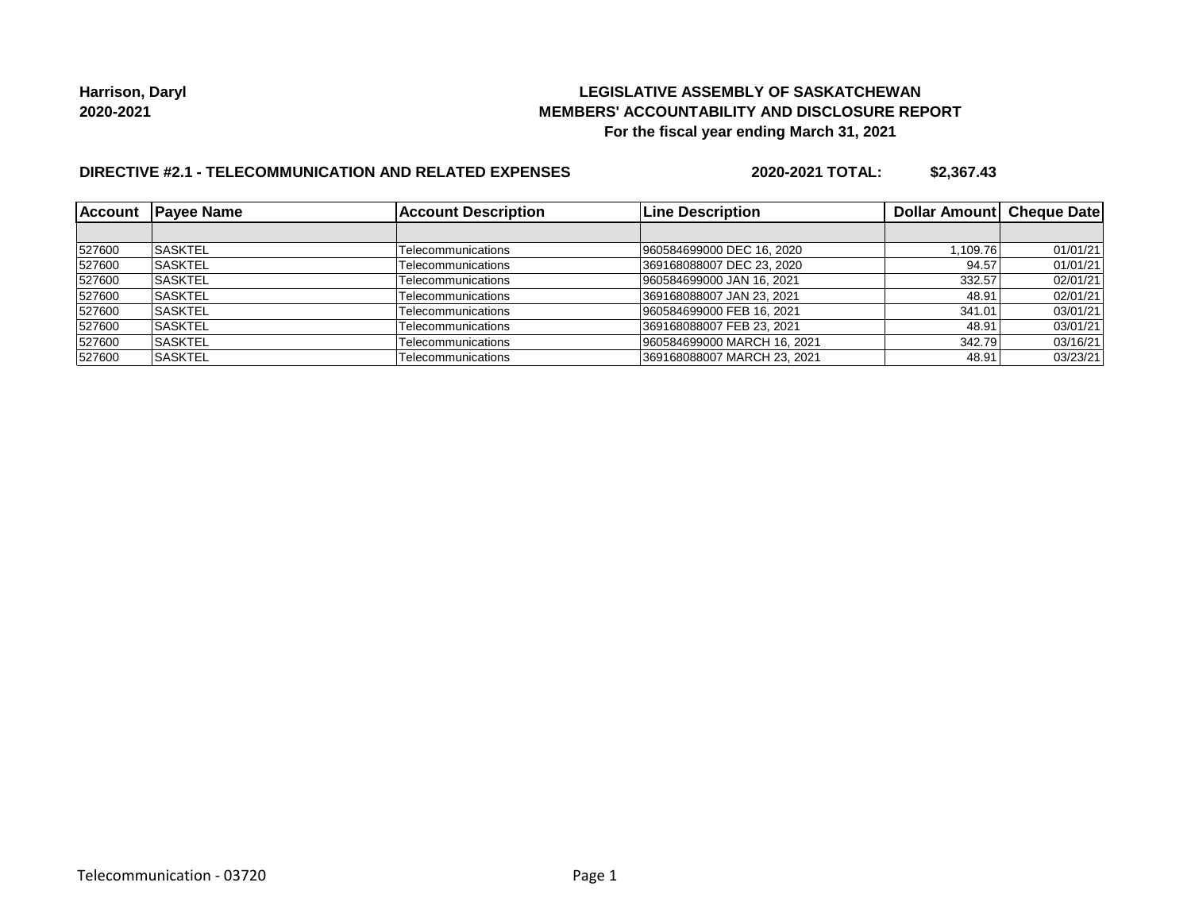## **LEGISLATIVE ASSEMBLY OF SASKATCHEWAN MEMBERS' ACCOUNTABILITY AND DISCLOSURE REPORT For the fiscal year ending March 31, 2021**

# **DIRECTIVE #2.1 - TELECOMMUNICATION AND RELATED EXPENSES**

**2020-2021 TOTAL: \$2,367.43**

| <b>Account</b> | <b>IPavee Name</b> | <b>Account Description</b> | <b>Line Description</b>     | Dollar Amount Cheque Date |          |
|----------------|--------------------|----------------------------|-----------------------------|---------------------------|----------|
|                |                    |                            |                             |                           |          |
| 527600         | <b>SASKTEL</b>     | Telecommunications         | 960584699000 DEC 16, 2020   | 1,109.76                  | 01/01/21 |
| 527600         | ISASKTEL           | Telecommunications         | 369168088007 DEC 23, 2020   | 94.57                     | 01/01/21 |
| 527600         | <b>SASKTEL</b>     | Telecommunications         | 960584699000 JAN 16, 2021   | 332.57                    | 02/01/21 |
| 527600         | <b>SASKTEL</b>     | Telecommunications         | 369168088007 JAN 23, 2021   | 48.91                     | 02/01/21 |
| 527600         | <b>SASKTEL</b>     | Telecommunications         | 960584699000 FEB 16, 2021   | 341.01                    | 03/01/21 |
| 527600         | <b>SASKTEL</b>     | Telecommunications         | 369168088007 FEB 23, 2021   | 48.91                     | 03/01/21 |
| 527600         | <b>ISASKTEL</b>    | Telecommunications         | 960584699000 MARCH 16, 2021 | 342.79                    | 03/16/21 |
| 527600         | ISASKTEL           | Telecommunications         | 369168088007 MARCH 23, 2021 | 48.91                     | 03/23/21 |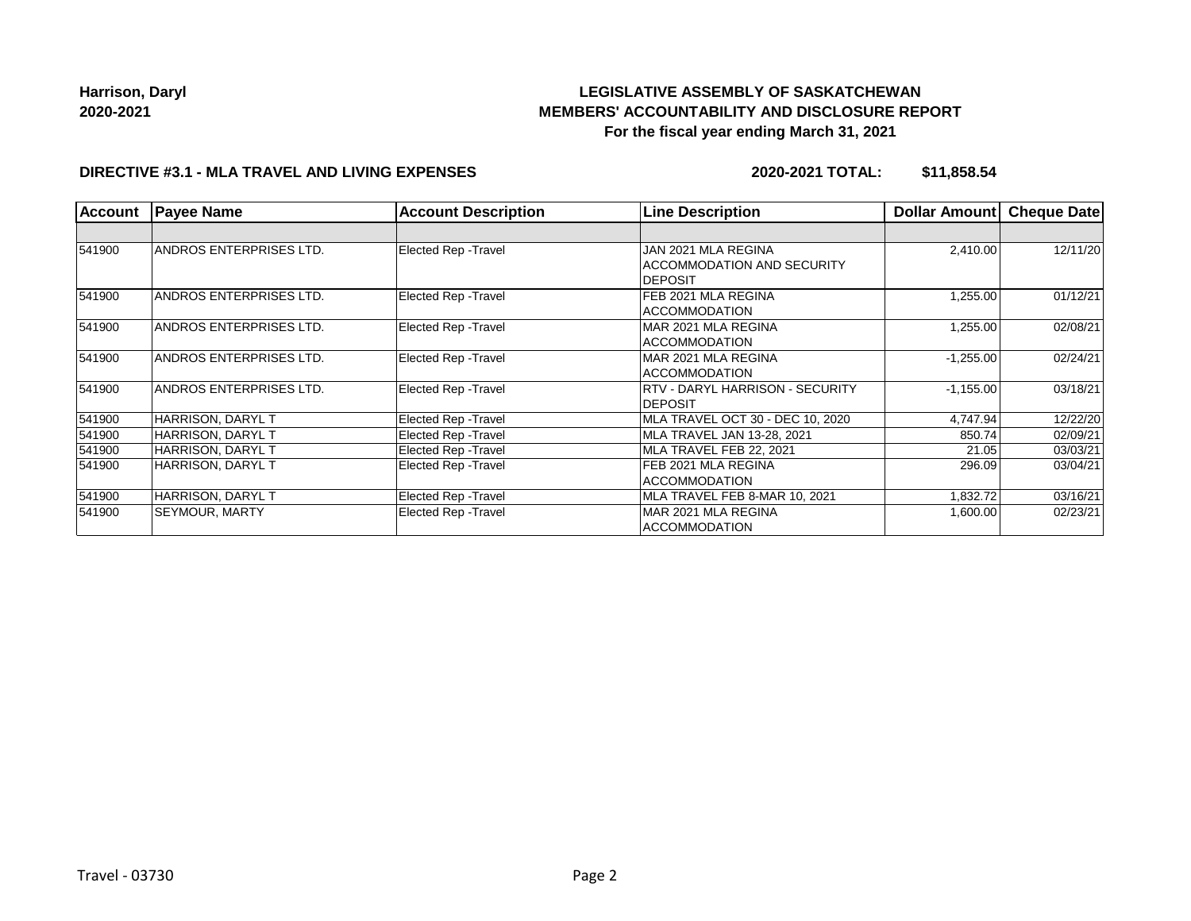# **LEGISLATIVE ASSEMBLY OF SASKATCHEWAN MEMBERS' ACCOUNTABILITY AND DISCLOSURE REPORT For the fiscal year ending March 31, 2021**

### **DIRECTIVE #3.1 - MLA TRAVEL AND LIVING EXPENSES**

**2020-2021 TOTAL: \$11,858.54**

| <b>Account</b> | <b>Payee Name</b>       | <b>Account Description</b>  | <b>Line Description</b>                | Dollar Amount | <b>Cheque Date</b> |
|----------------|-------------------------|-----------------------------|----------------------------------------|---------------|--------------------|
|                |                         |                             |                                        |               |                    |
| 541900         | ANDROS ENTERPRISES LTD. | <b>Elected Rep - Travel</b> | JAN 2021 MLA REGINA                    | 2,410.00      | 12/11/20           |
|                |                         |                             | <b>ACCOMMODATION AND SECURITY</b>      |               |                    |
|                |                         |                             | <b>DEPOSIT</b>                         |               |                    |
| 541900         | ANDROS ENTERPRISES LTD. | <b>Elected Rep - Travel</b> | FEB 2021 MLA REGINA                    | 1,255.00      | 01/12/21           |
|                |                         |                             | <b>ACCOMMODATION</b>                   |               |                    |
| 541900         | ANDROS ENTERPRISES LTD. | Elected Rep - Travel        | MAR 2021 MLA REGINA                    | 1,255.00      | 02/08/21           |
|                |                         |                             | <b>ACCOMMODATION</b>                   |               |                    |
| 541900         | ANDROS ENTERPRISES LTD. | Elected Rep - Travel        | MAR 2021 MLA REGINA                    | $-1,255.00$   | 02/24/21           |
|                |                         |                             | <b>ACCOMMODATION</b>                   |               |                    |
| 541900         | ANDROS ENTERPRISES LTD. | <b>Elected Rep - Travel</b> | <b>RTV - DARYL HARRISON - SECURITY</b> | $-1,155.00$   | 03/18/21           |
|                |                         |                             | <b>DEPOSIT</b>                         |               |                    |
| 541900         | HARRISON. DARYL T       | <b>Elected Rep - Travel</b> | MLA TRAVEL OCT 30 - DEC 10. 2020       | 4,747.94      | 12/22/20           |
| 541900         | HARRISON, DARYL T       | <b>Elected Rep - Travel</b> | MLA TRAVEL JAN 13-28, 2021             | 850.74        | 02/09/21           |
| 541900         | HARRISON, DARYL T       | <b>Elected Rep - Travel</b> | MLA TRAVEL FEB 22, 2021                | 21.05         | 03/03/21           |
| 541900         | HARRISON, DARYL T       | <b>Elected Rep - Travel</b> | FEB 2021 MLA REGINA                    | 296.09        | 03/04/21           |
|                |                         |                             | <b>ACCOMMODATION</b>                   |               |                    |
| 541900         | HARRISON, DARYL T       | <b>Elected Rep - Travel</b> | MLA TRAVEL FEB 8-MAR 10, 2021          | 1,832.72      | 03/16/21           |
| 541900         | SEYMOUR, MARTY          | <b>Elected Rep - Travel</b> | MAR 2021 MLA REGINA                    | 1,600.00      | 02/23/21           |
|                |                         |                             | ACCOMMODATION                          |               |                    |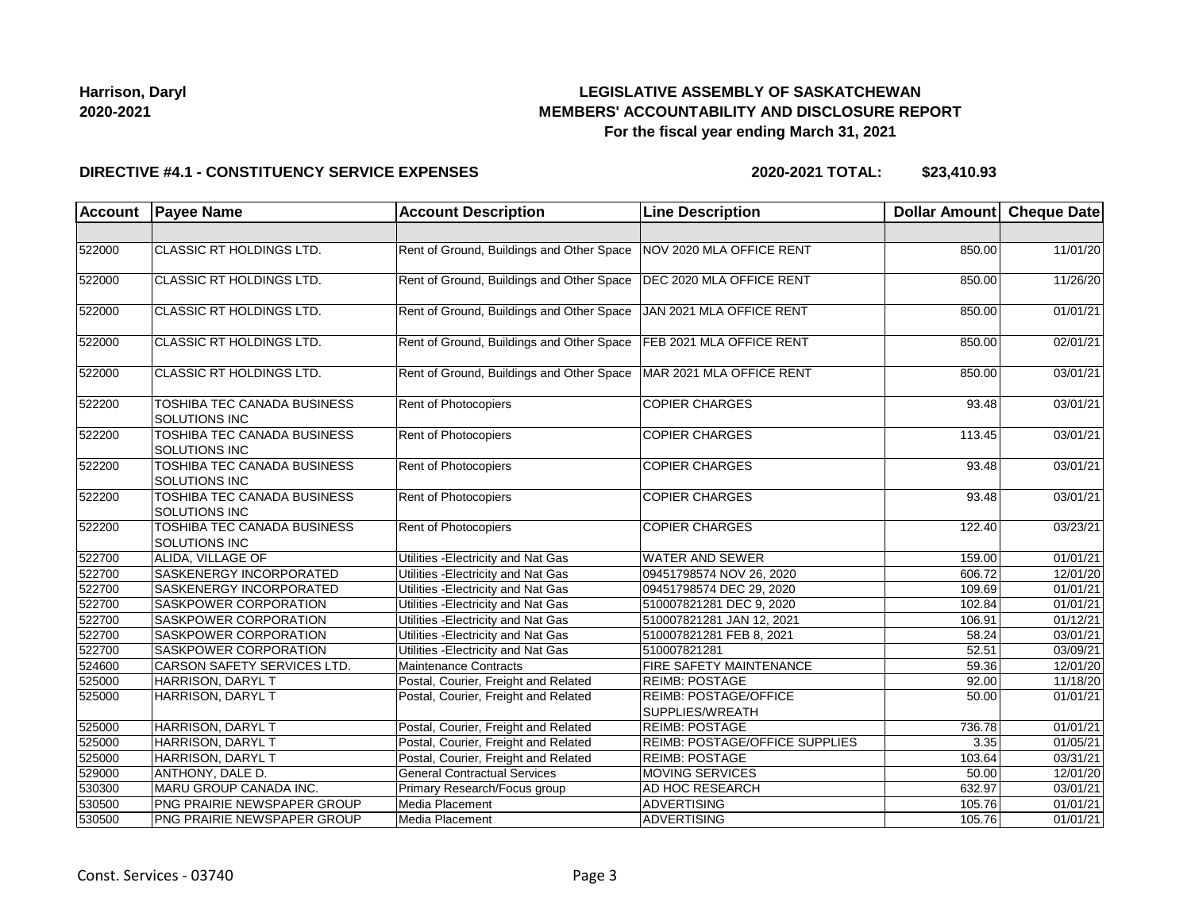## **LEGISLATIVE ASSEMBLY OF SASKATCHEWAN MEMBERS' ACCOUNTABILITY AND DISCLOSURE REPORT For the fiscal year ending March 31, 2021**

#### **DIRECTIVE #4.1 - CONSTITUENCY SERVICE EXPENSES**

**2020-2021 TOTAL: \$23,410.93**

| <b>Account</b> | <b>Payee Name</b>                                   | <b>Account Description</b>                | <b>Line Description</b>                  | Dollar Amount Cheque Date |                       |
|----------------|-----------------------------------------------------|-------------------------------------------|------------------------------------------|---------------------------|-----------------------|
|                |                                                     |                                           |                                          |                           |                       |
| 522000         | CLASSIC RT HOLDINGS LTD.                            | Rent of Ground, Buildings and Other Space | NOV 2020 MLA OFFICE RENT                 | 850.00                    | 11/01/20              |
| 522000         | CLASSIC RT HOLDINGS LTD.                            | Rent of Ground, Buildings and Other Space | DEC 2020 MLA OFFICE RENT                 | 850.00                    | 11/26/20              |
| 522000         | CLASSIC RT HOLDINGS LTD.                            | Rent of Ground, Buildings and Other Space | JAN 2021 MLA OFFICE RENT                 | 850.00                    | 01/01/21              |
| 522000         | CLASSIC RT HOLDINGS LTD.                            | Rent of Ground, Buildings and Other Space | FEB 2021 MLA OFFICE RENT                 | 850.00                    | 02/01/21              |
| 522000         | CLASSIC RT HOLDINGS LTD.                            | Rent of Ground, Buildings and Other Space | MAR 2021 MLA OFFICE RENT                 | 850.00                    | 03/01/21              |
| 522200         | TOSHIBA TEC CANADA BUSINESS<br><b>SOLUTIONS INC</b> | Rent of Photocopiers                      | <b>COPIER CHARGES</b>                    | 93.48                     | 03/01/21              |
| 522200         | TOSHIBA TEC CANADA BUSINESS<br>SOLUTIONS INC        | Rent of Photocopiers                      | <b>COPIER CHARGES</b>                    | 113.45                    | 03/01/21              |
| 522200         | TOSHIBA TEC CANADA BUSINESS<br>SOLUTIONS INC        | Rent of Photocopiers                      | <b>COPIER CHARGES</b>                    | 93.48                     | 03/01/21              |
| 522200         | TOSHIBA TEC CANADA BUSINESS<br>SOLUTIONS INC        | <b>Rent of Photocopiers</b>               | <b>COPIER CHARGES</b>                    | 93.48                     | 03/01/21              |
| 522200         | TOSHIBA TEC CANADA BUSINESS<br>SOLUTIONS INC        | Rent of Photocopiers                      | <b>COPIER CHARGES</b>                    | 122.40                    | 03/23/21              |
| 522700         | ALIDA, VILLAGE OF                                   | Utilities - Electricity and Nat Gas       | <b>WATER AND SEWER</b>                   | 159.00                    | 01/01/21              |
| 522700         | SASKENERGY INCORPORATED                             | Utilities - Electricity and Nat Gas       | 09451798574 NOV 26, 2020                 | 606.72                    | 12/01/20              |
| 522700         | SASKENERGY INCORPORATED                             | Utilities - Electricity and Nat Gas       | 09451798574 DEC 29, 2020                 | 109.69                    | $\overline{01/01/21}$ |
| 522700         | SASKPOWER CORPORATION                               | Utilities - Electricity and Nat Gas       | 510007821281 DEC 9, 2020                 | 102.84                    | 01/01/21              |
| 522700         | SASKPOWER CORPORATION                               | Utilities - Electricity and Nat Gas       | 510007821281 JAN 12, 2021                | 106.91                    | 01/12/21              |
| 522700         | <b>SASKPOWER CORPORATION</b>                        | Utilities - Electricity and Nat Gas       | 510007821281 FEB 8, 2021                 | 58.24                     | 03/01/21              |
| 522700         | <b>SASKPOWER CORPORATION</b>                        | Utilities - Electricity and Nat Gas       | 510007821281                             | 52.51                     | 03/09/21              |
| 524600         | <b>CARSON SAFETY SERVICES LTD.</b>                  | Maintenance Contracts                     | <b>FIRE SAFETY MAINTENANCE</b>           | 59.36                     | 12/01/20              |
| 525000         | HARRISON, DARYL T                                   | Postal, Courier, Freight and Related      | <b>REIMB: POSTAGE</b>                    | 92.00                     | 11/18/20              |
| 525000         | HARRISON, DARYL T                                   | Postal, Courier, Freight and Related      | REIMB: POSTAGE/OFFICE<br>SUPPLIES/WREATH | 50.00                     | 01/01/21              |
| 525000         | HARRISON, DARYL T                                   | Postal, Courier, Freight and Related      | <b>REIMB: POSTAGE</b>                    | 736.78                    | 01/01/21              |
| 525000         | HARRISON, DARYL T                                   | Postal, Courier, Freight and Related      | <b>REIMB: POSTAGE/OFFICE SUPPLIES</b>    | 3.35                      | 01/05/21              |
| 525000         | HARRISON, DARYL T                                   | Postal, Courier, Freight and Related      | <b>REIMB: POSTAGE</b>                    | 103.64                    | 03/31/21              |
| 529000         | ANTHONY, DALE D.                                    | <b>General Contractual Services</b>       | MOVING SERVICES                          | 50.00                     | 12/01/20              |
| 530300         | MARU GROUP CANADA INC.                              | Primary Research/Focus group              | AD HOC RESEARCH                          | 632.97                    | 03/01/21              |
| 530500         | PNG PRAIRIE NEWSPAPER GROUP                         | Media Placement                           | <b>ADVERTISING</b>                       | 105.76                    | 01/01/21              |
| 530500         | PNG PRAIRIE NEWSPAPER GROUP                         | Media Placement                           | ADVERTISING                              | 105.76                    | 01/01/21              |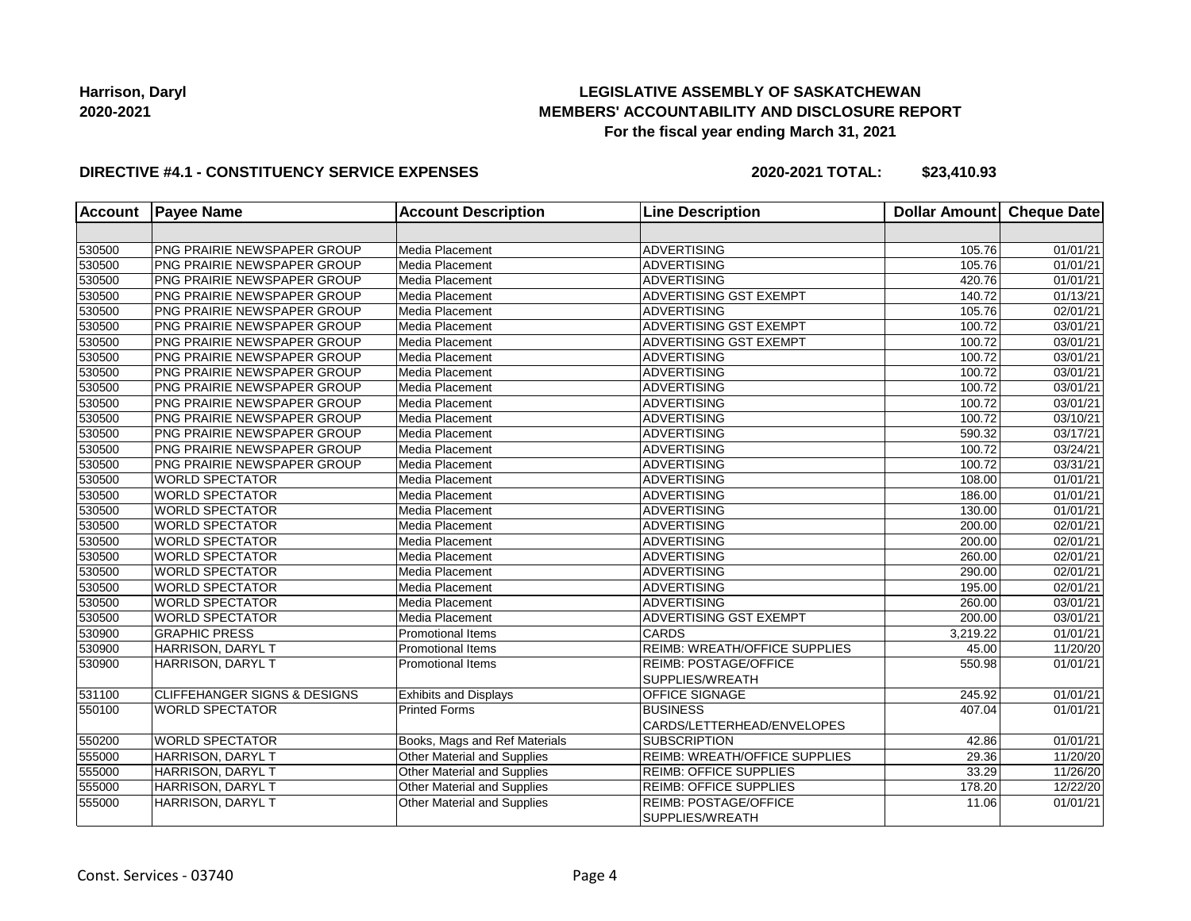## **LEGISLATIVE ASSEMBLY OF SASKATCHEWAN MEMBERS' ACCOUNTABILITY AND DISCLOSURE REPORT For the fiscal year ending March 31, 2021**

### **DIRECTIVE #4.1 - CONSTITUENCY SERVICE EXPENSES**

**2020-2021 TOTAL: \$23,410.93**

| <b>Account</b> | <b>Payee Name</b>                       | <b>Account Description</b>    | <b>Line Description</b>              | <b>Dollar Amount</b> | Cheque Date           |
|----------------|-----------------------------------------|-------------------------------|--------------------------------------|----------------------|-----------------------|
|                |                                         |                               |                                      |                      |                       |
| 530500         | PNG PRAIRIE NEWSPAPER GROUP             | Media Placement               | <b>ADVERTISING</b>                   | 105.76               | 01/01/21              |
| 530500         | PNG PRAIRIE NEWSPAPER GROUP             | Media Placement               | <b>ADVERTISING</b>                   | 105.76               | 01/01/21              |
| 530500         | PNG PRAIRIE NEWSPAPER GROUP             | Media Placement               | ADVERTISING                          | 420.76               | 01/01/21              |
| 530500         | PNG PRAIRIE NEWSPAPER GROUP             | Media Placement               | <b>ADVERTISING GST EXEMPT</b>        | 140.72               | 01/13/21              |
| 530500         | PNG PRAIRIE NEWSPAPER GROUP             | Media Placement               | <b>ADVERTISING</b>                   | 105.76               | $\overline{02}/01/21$ |
| 530500         | PNG PRAIRIE NEWSPAPER GROUP             | Media Placement               | ADVERTISING GST EXEMPT               | 100.72               | 03/01/21              |
| 530500         | PNG PRAIRIE NEWSPAPER GROUP             | Media Placement               | ADVERTISING GST EXEMPT               | 100.72               | 03/01/21              |
| 530500         | PNG PRAIRIE NEWSPAPER GROUP             | Media Placement               | ADVERTISING                          | 100.72               | 03/01/21              |
| 530500         | PNG PRAIRIE NEWSPAPER GROUP             | Media Placement               | ADVERTISING                          | 100.72               | 03/01/21              |
| 530500         | PNG PRAIRIE NEWSPAPER GROUP             | Media Placement               | <b>ADVERTISING</b>                   | 100.72               | 03/01/21              |
| 530500         | PNG PRAIRIE NEWSPAPER GROUP             | Media Placement               | <b>ADVERTISING</b>                   | 100.72               | 03/01/21              |
| 530500         | PNG PRAIRIE NEWSPAPER GROUP             | Media Placement               | <b>ADVERTISING</b>                   | 100.72               | 03/10/21              |
| 530500         | PNG PRAIRIE NEWSPAPER GROUP             | Media Placement               | <b>ADVERTISING</b>                   | 590.32               | $\overline{03}/17/21$ |
| 530500         | PNG PRAIRIE NEWSPAPER GROUP             | Media Placement               | ADVERTISING                          | 100.72               | 03/24/21              |
| 530500         | PNG PRAIRIE NEWSPAPER GROUP             | Media Placement               | ADVERTISING                          | 100.72               | 03/31/21              |
| 530500         | <b>WORLD SPECTATOR</b>                  | Media Placement               | ADVERTISING                          | 108.00               | 01/01/21              |
| 530500         | <b>WORLD SPECTATOR</b>                  | Media Placement               | <b>ADVERTISING</b>                   | 186.00               | 01/01/21              |
| 530500         | <b>WORLD SPECTATOR</b>                  | Media Placement               | <b>ADVERTISING</b>                   | 130.00               | 01/01/21              |
| 530500         | <b>WORLD SPECTATOR</b>                  | Media Placement               | <b>ADVERTISING</b>                   | 200.00               | 02/01/21              |
| 530500         | <b>WORLD SPECTATOR</b>                  | Media Placement               | ADVERTISING                          | 200.00               | 02/01/21              |
| 530500         | <b>WORLD SPECTATOR</b>                  | Media Placement               | ADVERTISING                          | 260.00               | 02/01/21              |
| 530500         | <b>WORLD SPECTATOR</b>                  | Media Placement               | <b>ADVERTISING</b>                   | 290.00               | 02/01/21              |
| 530500         | <b>WORLD SPECTATOR</b>                  | Media Placement               | <b>ADVERTISING</b>                   | 195.00               | 02/01/21              |
| 530500         | <b>WORLD SPECTATOR</b>                  | Media Placement               | <b>ADVERTISING</b>                   | 260.00               | 03/01/21              |
| 530500         | <b>WORLD SPECTATOR</b>                  | Media Placement               | ADVERTISING GST EXEMPT               | 200.00               | 03/01/21              |
| 530900         | <b>GRAPHIC PRESS</b>                    | <b>Promotional Items</b>      | <b>CARDS</b>                         | 3,219.22             | 01/01/21              |
| 530900         | HARRISON, DARYL T                       | <b>Promotional Items</b>      | <b>REIMB: WREATH/OFFICE SUPPLIES</b> | 45.00                | 11/20/20              |
| 530900         | HARRISON, DARYL T                       | <b>Promotional Items</b>      | <b>REIMB: POSTAGE/OFFICE</b>         | 550.98               | 01/01/21              |
|                |                                         |                               | SUPPLIES/WREATH                      |                      |                       |
| 531100         | <b>CLIFFEHANGER SIGNS &amp; DESIGNS</b> | <b>Exhibits and Displays</b>  | <b>OFFICE SIGNAGE</b>                | 245.92               | 01/01/21              |
| 550100         | <b>WORLD SPECTATOR</b>                  | <b>Printed Forms</b>          | <b>BUSINESS</b>                      | 407.04               | 01/01/21              |
|                |                                         |                               | CARDS/LETTERHEAD/ENVELOPES           |                      |                       |
| 550200         | <b>WORLD SPECTATOR</b>                  | Books, Mags and Ref Materials | <b>SUBSCRIPTION</b>                  | 42.86                | 01/01/21              |
| 555000         | HARRISON, DARYL T                       | Other Material and Supplies   | <b>REIMB: WREATH/OFFICE SUPPLIES</b> | 29.36                | 11/20/20              |
| 555000         | HARRISON, DARYL T                       | Other Material and Supplies   | <b>REIMB: OFFICE SUPPLIES</b>        | 33.29                | 11/26/20              |
| 555000         | HARRISON, DARYL T                       | Other Material and Supplies   | <b>REIMB: OFFICE SUPPLIES</b>        | 178.20               | 12/22/20              |
| 555000         | HARRISON, DARYL T                       | Other Material and Supplies   | REIMB: POSTAGE/OFFICE                | 11.06                | 01/01/21              |
|                |                                         |                               | SUPPLIES/WREATH                      |                      |                       |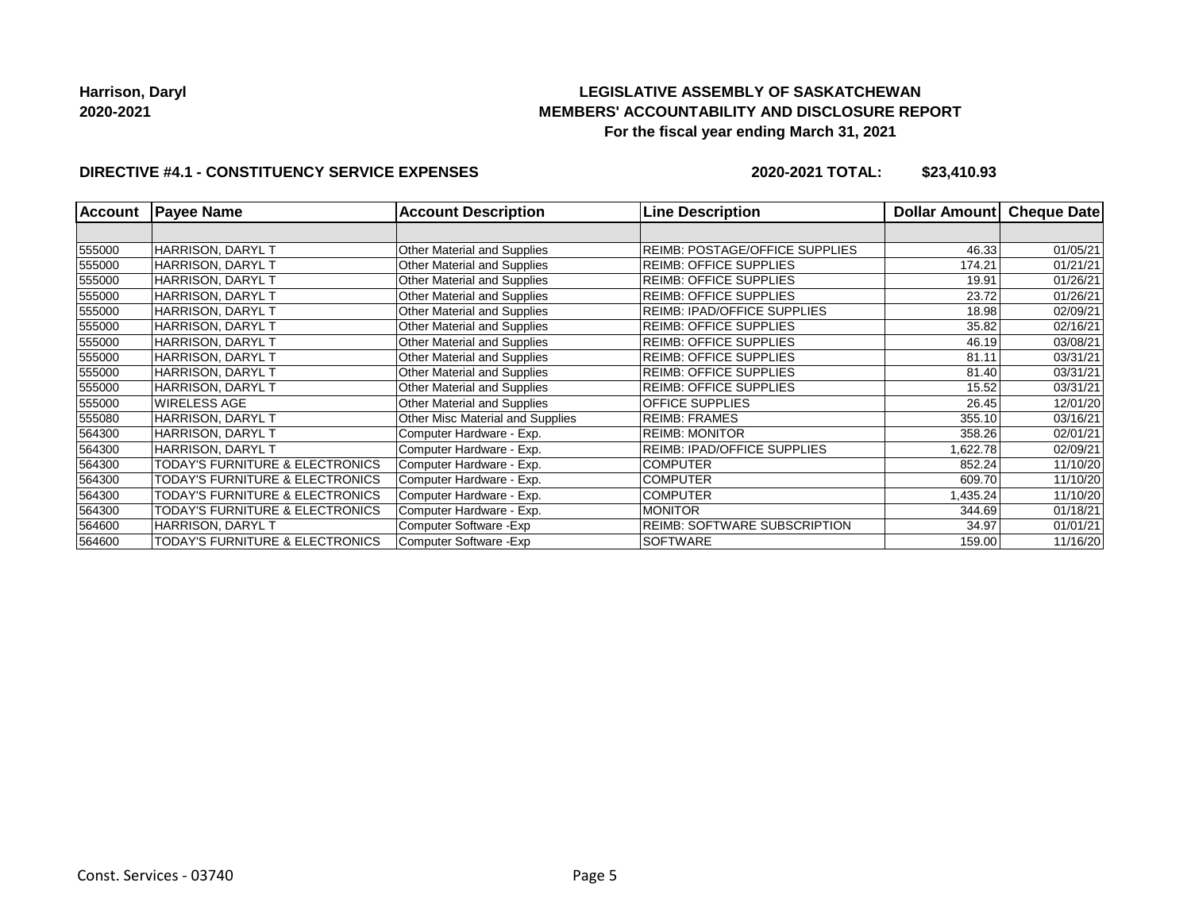## **LEGISLATIVE ASSEMBLY OF SASKATCHEWAN MEMBERS' ACCOUNTABILITY AND DISCLOSURE REPORT For the fiscal year ending March 31, 2021**

## **DIRECTIVE #4.1 - CONSTITUENCY SERVICE EXPENSES**

**2020-2021 TOTAL: \$23,410.93**

| <b>Account</b> | <b>Payee Name</b>                          | <b>Account Description</b>       | <b>Line Description</b>               | <b>Dollar Amountl</b> | <b>Cheque Date</b> |
|----------------|--------------------------------------------|----------------------------------|---------------------------------------|-----------------------|--------------------|
|                |                                            |                                  |                                       |                       |                    |
| 555000         | HARRISON, DARYL T                          | Other Material and Supplies      | <b>REIMB: POSTAGE/OFFICE SUPPLIES</b> | 46.33                 | 01/05/21           |
| 555000         | HARRISON, DARYL T                          | Other Material and Supplies      | <b>REIMB: OFFICE SUPPLIES</b>         | 174.21                | 01/21/21           |
| 555000         | HARRISON, DARYL T                          | Other Material and Supplies      | <b>REIMB: OFFICE SUPPLIES</b>         | 19.91                 | 01/26/21           |
| 555000         | HARRISON, DARYL T                          | Other Material and Supplies      | <b>REIMB: OFFICE SUPPLIES</b>         | 23.72                 | 01/26/21           |
| 555000         | HARRISON, DARYL T                          | Other Material and Supplies      | <b>REIMB: IPAD/OFFICE SUPPLIES</b>    | 18.98                 | 02/09/21           |
| 555000         | HARRISON, DARYL T                          | Other Material and Supplies      | <b>REIMB: OFFICE SUPPLIES</b>         | 35.82                 | 02/16/21           |
| 555000         | HARRISON, DARYL T                          | Other Material and Supplies      | <b>REIMB: OFFICE SUPPLIES</b>         | 46.19                 | 03/08/21           |
| 555000         | HARRISON, DARYL T                          | Other Material and Supplies      | <b>REIMB: OFFICE SUPPLIES</b>         | 81.11                 | 03/31/21           |
| 555000         | HARRISON, DARYL T                          | Other Material and Supplies      | <b>REIMB: OFFICE SUPPLIES</b>         | 81.40                 | 03/31/21           |
| 555000         | HARRISON, DARYL T                          | Other Material and Supplies      | <b>REIMB: OFFICE SUPPLIES</b>         | 15.52                 | 03/31/21           |
| 555000         | <b>WIRELESS AGE</b>                        | Other Material and Supplies      | <b>OFFICE SUPPLIES</b>                | 26.45                 | 12/01/20           |
| 555080         | HARRISON, DARYL T                          | Other Misc Material and Supplies | <b>REIMB: FRAMES</b>                  | 355.10                | 03/16/21           |
| 564300         | HARRISON, DARYL T                          | Computer Hardware - Exp.         | <b>REIMB: MONITOR</b>                 | 358.26                | 02/01/21           |
| 564300         | HARRISON, DARYL T                          | Computer Hardware - Exp.         | <b>REIMB: IPAD/OFFICE SUPPLIES</b>    | 1,622.78              | 02/09/21           |
| 564300         | <b>TODAY'S FURNITURE &amp; ELECTRONICS</b> | Computer Hardware - Exp.         | <b>COMPUTER</b>                       | 852.24                | 11/10/20           |
| 564300         | TODAY'S FURNITURE & ELECTRONICS            | Computer Hardware - Exp.         | <b>COMPUTER</b>                       | 609.70                | 11/10/20           |
| 564300         | TODAY'S FURNITURE & ELECTRONICS            | Computer Hardware - Exp.         | <b>COMPUTER</b>                       | 1,435.24              | 11/10/20           |
| 564300         | TODAY'S FURNITURE & ELECTRONICS            | Computer Hardware - Exp.         | <b>MONITOR</b>                        | 344.69                | 01/18/21           |
| 564600         | HARRISON, DARYL T                          | Computer Software - Exp          | <b>REIMB: SOFTWARE SUBSCRIPTION</b>   | 34.97                 | 01/01/21           |
| 564600         | TODAY'S FURNITURE & ELECTRONICS            | Computer Software - Exp          | <b>SOFTWARE</b>                       | 159.00                | 11/16/20           |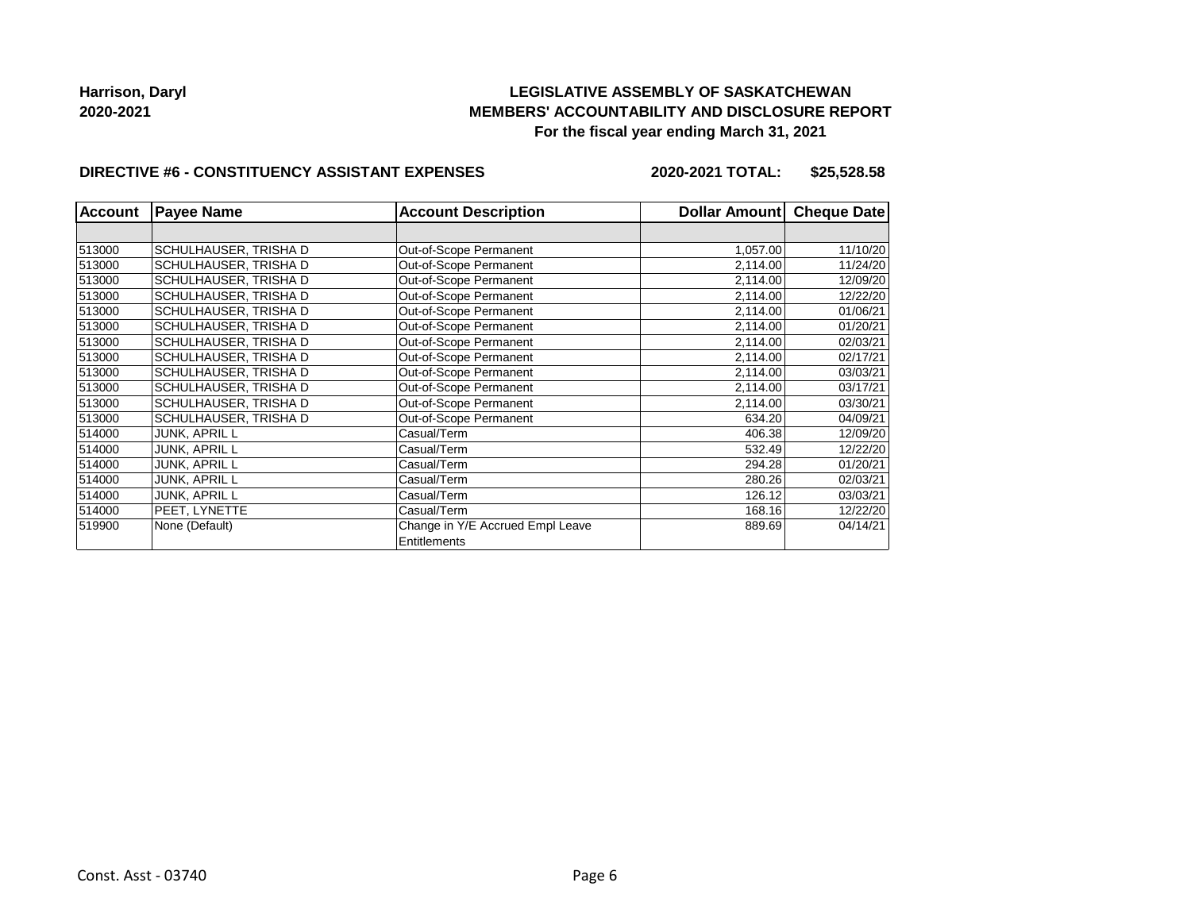## **LEGISLATIVE ASSEMBLY OF SASKATCHEWAN MEMBERS' ACCOUNTABILITY AND DISCLOSURE REPORT For the fiscal year ending March 31, 2021**

#### **DIRECTIVE #6 - CONSTITUENCY ASSISTANT EXPENSES**

**2020-2021 TOTAL: \$25,528.58**

| <b>Account</b> | <b>Payee Name</b>     | <b>Account Description</b>       | Dollar Amount | <b>Cheque Date</b> |
|----------------|-----------------------|----------------------------------|---------------|--------------------|
|                |                       |                                  |               |                    |
| 513000         | SCHULHAUSER, TRISHA D | Out-of-Scope Permanent           | 1,057.00      | 11/10/20           |
| 513000         | SCHULHAUSER, TRISHA D | Out-of-Scope Permanent           | 2,114.00      | 11/24/20           |
| 513000         | SCHULHAUSER, TRISHA D | Out-of-Scope Permanent           | 2,114.00      | 12/09/20           |
| 513000         | SCHULHAUSER, TRISHA D | Out-of-Scope Permanent           | 2,114.00      | 12/22/20           |
| 513000         | SCHULHAUSER, TRISHA D | Out-of-Scope Permanent           | 2,114.00      | 01/06/21           |
| 513000         | SCHULHAUSER, TRISHA D | Out-of-Scope Permanent           | 2,114.00      | 01/20/21           |
| 513000         | SCHULHAUSER, TRISHA D | Out-of-Scope Permanent           | 2,114.00      | 02/03/21           |
| 513000         | SCHULHAUSER, TRISHA D | Out-of-Scope Permanent           | 2,114.00      | 02/17/21           |
| 513000         | SCHULHAUSER, TRISHA D | Out-of-Scope Permanent           | 2,114.00      | 03/03/21           |
| 513000         | SCHULHAUSER, TRISHA D | Out-of-Scope Permanent           | 2,114.00      | 03/17/21           |
| 513000         | SCHULHAUSER, TRISHA D | Out-of-Scope Permanent           | 2,114.00      | 03/30/21           |
| 513000         | SCHULHAUSER, TRISHA D | Out-of-Scope Permanent           | 634.20        | 04/09/21           |
| 514000         | JUNK, APRIL L         | Casual/Term                      | 406.38        | 12/09/20           |
| 514000         | <b>JUNK, APRIL L</b>  | Casual/Term                      | 532.49        | 12/22/20           |
| 514000         | JUNK, APRIL L         | Casual/Term                      | 294.28        | 01/20/21           |
| 514000         | <b>JUNK, APRIL L</b>  | Casual/Term                      | 280.26        | 02/03/21           |
| 514000         | JUNK, APRIL L         | Casual/Term                      | 126.12        | 03/03/21           |
| 514000         | PEET, LYNETTE         | Casual/Term                      | 168.16        | 12/22/20           |
| 519900         | None (Default)        | Change in Y/E Accrued Empl Leave | 889.69        | 04/14/21           |
|                |                       | Entitlements                     |               |                    |